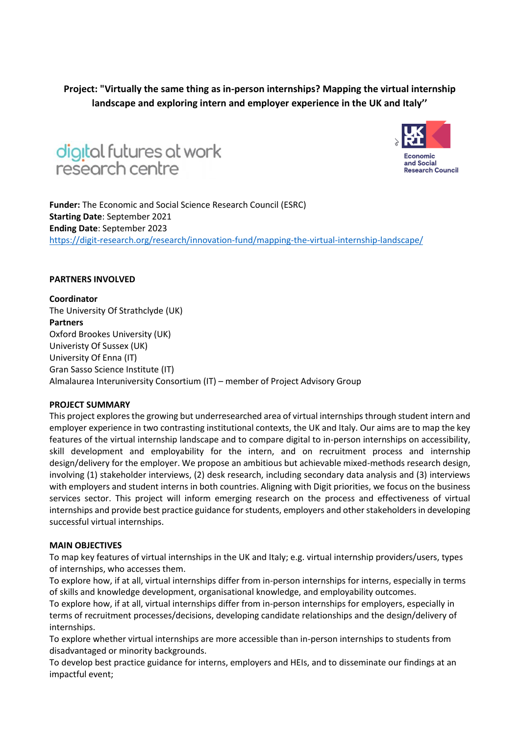**Project: "Virtually the same thing as in-person internships? Mapping the virtual internship landscape and exploring intern and employer experience in the UK and Italy''**





**Funder:** The Economic and Social Science Research Council (ESRC) **Starting Date**: September 2021 **Ending Date**: September 2023 <https://digit-research.org/research/innovation-fund/mapping-the-virtual-internship-landscape/>

### **PARTNERS INVOLVED**

**Coordinator** The University Of Strathclyde (UK) **Partners** Oxford Brookes University (UK) Univeristy Of Sussex (UK) University Of Enna (IT) Gran Sasso Science Institute (IT) Almalaurea Interuniversity Consortium (IT) – member of Project Advisory Group

### **PROJECT SUMMARY**

This project explores the growing but underresearched area of virtual internships through student intern and employer experience in two contrasting institutional contexts, the UK and Italy. Our aims are to map the key features of the virtual internship landscape and to compare digital to in-person internships on accessibility, skill development and employability for the intern, and on recruitment process and internship design/delivery for the employer. We propose an ambitious but achievable mixed-methods research design, involving (1) stakeholder interviews, (2) desk research, including secondary data analysis and (3) interviews with employers and student interns in both countries. Aligning with Digit priorities, we focus on the business services sector. This project will inform emerging research on the process and effectiveness of virtual internships and provide best practice guidance for students, employers and other stakeholders in developing successful virtual internships.

### **MAIN OBJECTIVES**

To map key features of virtual internships in the UK and Italy; e.g. virtual internship providers/users, types of internships, who accesses them.

To explore how, if at all, virtual internships differ from in-person internships for interns, especially in terms of skills and knowledge development, organisational knowledge, and employability outcomes.

To explore how, if at all, virtual internships differ from in-person internships for employers, especially in terms of recruitment processes/decisions, developing candidate relationships and the design/delivery of internships.

To explore whether virtual internships are more accessible than in-person internships to students from disadvantaged or minority backgrounds.

To develop best practice guidance for interns, employers and HEIs, and to disseminate our findings at an impactful event;